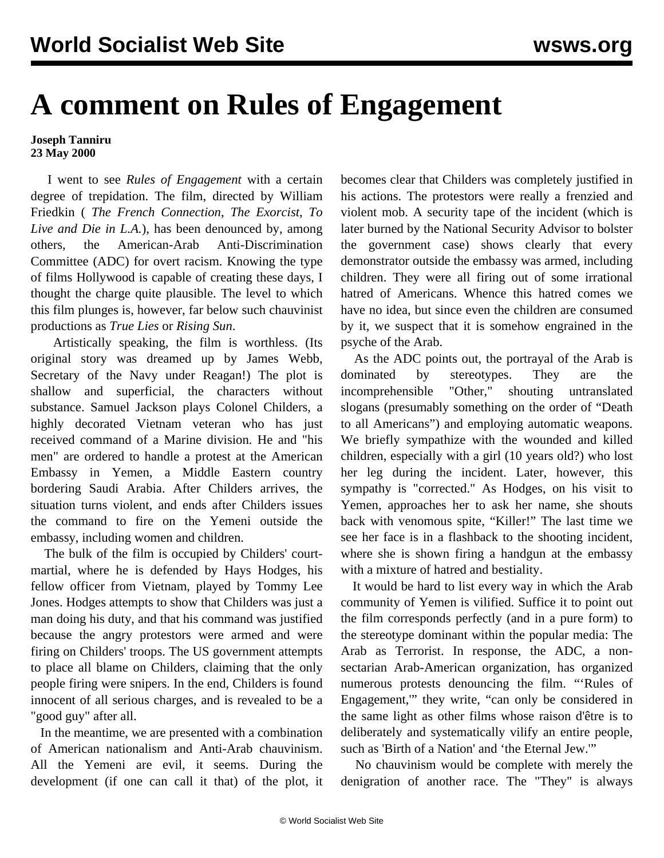## **A comment on Rules of Engagement**

## **Joseph Tanniru 23 May 2000**

 I went to see *Rules of Engagement* with a certain degree of trepidation. The film, directed by William Friedkin ( *The French Connection*, *The Exorcist*, *To Live and Die in L.A.*), has been denounced by, among others, the American-Arab Anti-Discrimination Committee (ADC) for overt racism. Knowing the type of films Hollywood is capable of creating these days, I thought the charge quite plausible. The level to which this film plunges is, however, far below such chauvinist productions as *True Lies* or *Rising Sun*.

 Artistically speaking, the film is worthless. (Its original story was dreamed up by James Webb, Secretary of the Navy under Reagan!) The plot is shallow and superficial, the characters without substance. Samuel Jackson plays Colonel Childers, a highly decorated Vietnam veteran who has just received command of a Marine division. He and "his men" are ordered to handle a protest at the American Embassy in Yemen, a Middle Eastern country bordering Saudi Arabia. After Childers arrives, the situation turns violent, and ends after Childers issues the command to fire on the Yemeni outside the embassy, including women and children.

 The bulk of the film is occupied by Childers' courtmartial, where he is defended by Hays Hodges, his fellow officer from Vietnam, played by Tommy Lee Jones. Hodges attempts to show that Childers was just a man doing his duty, and that his command was justified because the angry protestors were armed and were firing on Childers' troops. The US government attempts to place all blame on Childers, claiming that the only people firing were snipers. In the end, Childers is found innocent of all serious charges, and is revealed to be a "good guy" after all.

 In the meantime, we are presented with a combination of American nationalism and Anti-Arab chauvinism. All the Yemeni are evil, it seems. During the development (if one can call it that) of the plot, it becomes clear that Childers was completely justified in his actions. The protestors were really a frenzied and violent mob. A security tape of the incident (which is later burned by the National Security Advisor to bolster the government case) shows clearly that every demonstrator outside the embassy was armed, including children. They were all firing out of some irrational hatred of Americans. Whence this hatred comes we have no idea, but since even the children are consumed by it, we suspect that it is somehow engrained in the psyche of the Arab.

 As the ADC points out, the portrayal of the Arab is dominated by stereotypes. They are the incomprehensible "Other," shouting untranslated slogans (presumably something on the order of "Death to all Americans") and employing automatic weapons. We briefly sympathize with the wounded and killed children, especially with a girl (10 years old?) who lost her leg during the incident. Later, however, this sympathy is "corrected." As Hodges, on his visit to Yemen, approaches her to ask her name, she shouts back with venomous spite, "Killer!" The last time we see her face is in a flashback to the shooting incident, where she is shown firing a handgun at the embassy with a mixture of hatred and bestiality.

 It would be hard to list every way in which the Arab community of Yemen is vilified. Suffice it to point out the film corresponds perfectly (and in a pure form) to the stereotype dominant within the popular media: The Arab as Terrorist. In response, the ADC, a nonsectarian Arab-American organization, has organized numerous protests denouncing the film. "'Rules of Engagement,'" they write, "can only be considered in the same light as other films whose raison d'être is to deliberately and systematically vilify an entire people, such as 'Birth of a Nation' and 'the Eternal Jew.'"

 No chauvinism would be complete with merely the denigration of another race. The "They" is always